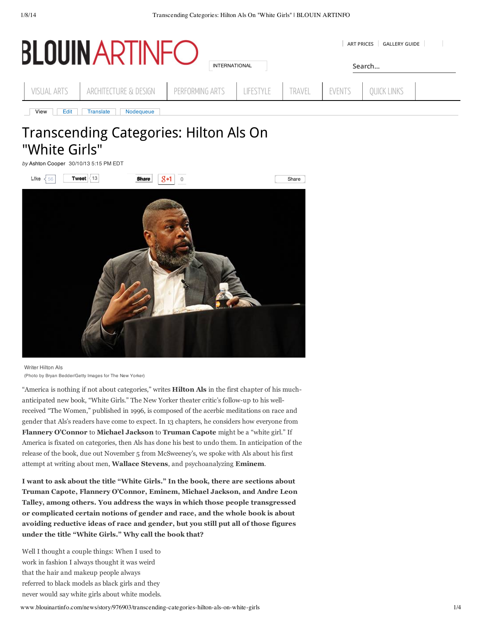| $\mathbf{D}$       |                               | <b>GALLERY GUIDE</b><br><b>ART PRICES</b> |           |        |        |                    |  |
|--------------------|-------------------------------|-------------------------------------------|-----------|--------|--------|--------------------|--|
|                    |                               | <b>INTERNATIONAL</b>                      |           | Search |        |                    |  |
| <b>VISUAL ARTS</b> | ARCHITECTURE & DESIGN         | PERFORMING ARTS                           | LIFESTYLE | TRAVEL | EVENTS | <b>QUICK LINKS</b> |  |
| View<br>Edit       | Nodequeue<br><b>Translate</b> |                                           |           |        |        |                    |  |

# Transcending Categories: Hilton Als On "White Girls"

*by* Ashton Cooper 30/10/13 5:15 PM EDT



Writer Hilton Als (Photo by Bryan Bedder/Getty Images for The New Yorker)

"America is nothing if not about categories," writes **Hilton Als** in the first chapter of his muchanticipated new book, "White Girls." The New Yorker theater critic's follow-up to his wellreceived "The Women," published in 1996, is composed of the acerbic meditations on race and gender that Als's readers have come to expect. In 13 chapters, he considers how everyone from **Flannery O'Connor** to **Michael Jackson** to **Truman Capote** might be a "white girl." If America is fixated on categories, then Als has done his best to undo them. In anticipation of the release of the book, due out November 5 from McSweeney's, we spoke with Als about his first attempt at writing about men, **Wallace Stevens**, and psychoanalyzing **Eminem**.

**I want to ask about the title "White Girls." In the book, there are sections about Truman Capote, Flannery O'Connor, Eminem, Michael Jackson, and Andre Leon Talley, among others. You address the ways in which those people transgressed or complicated certain notions of gender and race, and the whole book is about avoiding reductive ideas of race and gender, but you still put all of those figures under the title "White Girls." Why call the book that?**

Well I thought a couple things: When I used to work in fashion I always thought it was weird that the hair and makeup people always referred to black models as black girls and they never would say white girls about white models.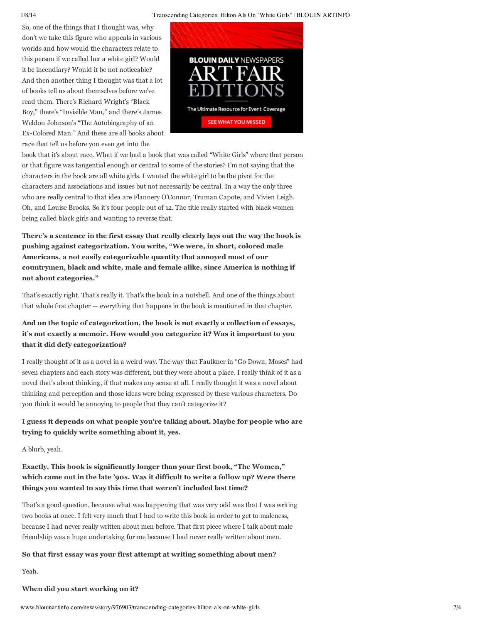#### 1/8/14 Transcending Categories: Hilton Als On "White Girls" | BLOUIN ARTINFO

So, one of the things that I thought was, why don't we take this figure who appeals in various worlds and how would the characters relate to this person if we called her a white girl? Would it be incendiary? Would it be not noticeable? And then another thing I thought was that a lot of books tell us about themselves before we've read them. There's Richard Wright's "Black Boy," there's "Invisible Man," and there's James Weldon Johnson's "The Autobiography of an Ex-Colored Man." And these are all books about race that tell us before you even get into the



book that it's about race. What if we had a book that was called "White Girls" where that person or that figure was tangential enough or central to some of the stories? I'm not saying that the characters in the book are all white girls. I wanted the white girl to be the pivot for the characters and associations and issues but not necessarily be central. In a way the only three who are really central to that idea are Flannery O'Connor, Truman Capote, and Vivien Leigh. Oh, and Louise Brooks. So it's four people out of 12. The title really started with black women being called black girls and wanting to reverse that.

**There's a sentence in the first essay that really clearly lays out the way the book is pushing against categorization. You write, "We were, in short, colored male Americans, a not easily categorizable quantity that annoyed most of our countrymen, black and white, male and female alike, since America is nothing if not about categories."**

That's exactly right. That's really it. That's the book in a nutshell. And one of the things about that whole first chapter — everything that happens in the book is mentioned in that chapter.

# **And on the topic of categorization, the book is not exactly a collection of essays, it's not exactly a memoir. How would you categorize it? Was it important to you that it did defy categorization?**

I really thought of it as a novel in a weird way. The way that Faulkner in "Go Down, Moses" had seven chapters and each story was different, but they were about a place. I really think of it as a novel that's about thinking, if that makes any sense at all. I really thought it was a novel about thinking and perception and those ideas were being expressed by these various characters. Do you think it would be annoying to people that they can't categorize it?

# **I guess it depends on what people you're talking about. Maybe for people who are trying to quickly write something about it, yes.**

A blurb, yeah.

# **Exactly. This book is significantly longer than your first book, "The Women," which came out in the late '90s. Was it difficult to write a follow up? Were there things you wanted to say this time that weren't included last time?**

That's a good question, because what was happening that was very odd was that I was writing two books at once. I felt very much that I had to write this book in order to get to maleness, because I had never really written about men before. That first piece where I talk about male friendship was a huge undertaking for me because I had never really written about men.

## **So that first essay was your first attempt at writing something about men?**

Yeah.

### **When did you start working on it?**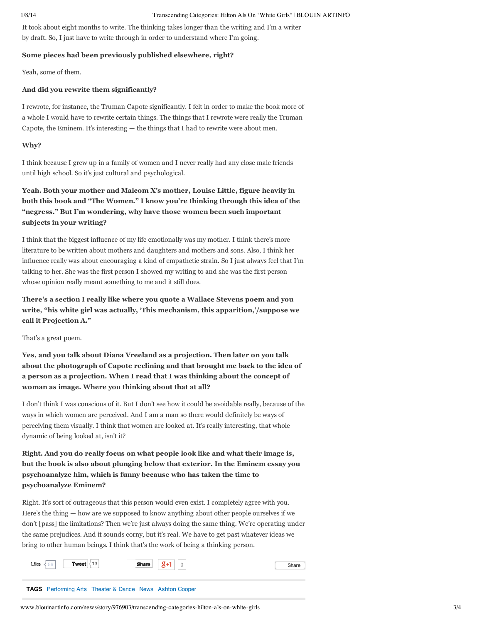#### 1/8/14 Transcending Categories: Hilton Als On "White Girls" | BLOUIN ARTINFO

It took about eight months to write. The thinking takes longer than the writing and I'm a writer by draft. So, I just have to write through in order to understand where I'm going.

#### **Some pieces had been previously published elsewhere, right?**

Yeah, some of them.

### **And did you rewrite them significantly?**

I rewrote, for instance, the Truman Capote significantly. I felt in order to make the book more of a whole I would have to rewrite certain things. The things that I rewrote were really the Truman Capote, the Eminem. It's interesting — the things that I had to rewrite were about men.

#### **Why?**

I think because I grew up in a family of women and I never really had any close male friends until high school. So it's just cultural and psychological.

**Yeah. Both your mother and Malcom X's mother, Louise Little, figure heavily in both this book and "The Women." I know you're thinking through this idea of the "negress." But I'm wondering, why have those women been such important subjects in your writing?**

I think that the biggest influence of my life emotionally was my mother. I think there's more literature to be written about mothers and daughters and mothers and sons. Also, I think her influence really was about encouraging a kind of empathetic strain. So I just always feel that I'm talking to her. She was the first person I showed my writing to and she was the first person whose opinion really meant something to me and it still does.

**There's a section I really like where you quote a Wallace Stevens poem and you write, "his white girl was actually, 'This mechanism, this apparition,'/suppose we call it Projection A."**

That's a great poem.

**Yes, and you talk about Diana Vreeland as a projection. Then later on you talk about the photograph of Capote reclining and that brought me back to the idea of a person as a projection. When I read that I was thinking about the concept of woman as image. Where you thinking about that at all?**

I don't think I was conscious of it. But I don't see how it could be avoidable really, because of the ways in which women are perceived. And I am a man so there would definitely be ways of perceiving them visually. I think that women are looked at. It's really interesting, that whole dynamic of being looked at, isn't it?

**Right. And you do really focus on what people look like and what their image is, but the book is also about plunging below that exterior. In the Eminem essay you psychoanalyze him, which is funny because who has taken the time to psychoanalyze Eminem?**

Right. It's sort of outrageous that this person would even exist. I completely agree with you. Here's the thing — how are we supposed to know anything about other people ourselves if we don't [pass] the limitations? Then we're just always doing the same thing. We're operating under the same prejudices. And it sounds corny, but it's real. We have to get past whatever ideas we bring to other human beings. I think that's the work of being a thinking person.

| Tweet $\vert$ 13<br>$\frac{1}{56}$<br>Like                     | <b>Share</b> | $Q+1$ | Share |
|----------------------------------------------------------------|--------------|-------|-------|
| <b>TAGS</b> Performing Arts Theater & Dance News Ashton Cooper |              |       |       |